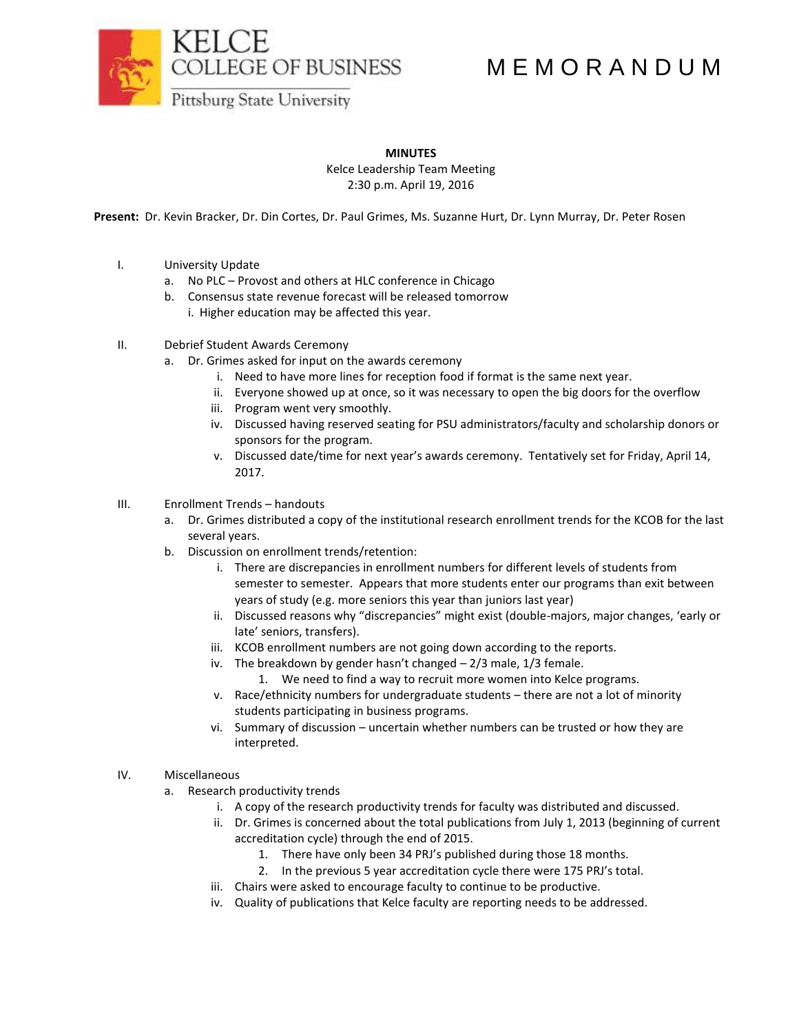COLLEGE OF BUSINESS

## M E M O R A N D U M

Pittsburg State University

**MINUTES**

Kelce Leadership Team Meeting 2:30 p.m. April 19, 2016

**Present:** Dr. Kevin Bracker, Dr. Din Cortes, Dr. Paul Grimes, Ms. Suzanne Hurt, Dr. Lynn Murray, Dr. Peter Rosen

- I. University Update
	- a. No PLC Provost and others at HLC conference in Chicago
	- b. Consensus state revenue forecast will be released tomorrow i. Higher education may be affected this year.
- II. Debrief Student Awards Ceremony
	- a. Dr. Grimes asked for input on the awards ceremony
		- i. Need to have more lines for reception food if format is the same next year.
		- ii. Everyone showed up at once, so it was necessary to open the big doors for the overflow
		- iii. Program went very smoothly.
		- iv. Discussed having reserved seating for PSU administrators/faculty and scholarship donors or sponsors for the program.
		- v. Discussed date/time for next year's awards ceremony. Tentatively set for Friday, April 14, 2017.
- III. Enrollment Trends handouts
	- a. Dr. Grimes distributed a copy of the institutional research enrollment trends for the KCOB for the last several years.
	- b. Discussion on enrollment trends/retention:
		- i. There are discrepancies in enrollment numbers for different levels of students from semester to semester. Appears that more students enter our programs than exit between years of study (e.g. more seniors this year than juniors last year)
		- ii. Discussed reasons why "discrepancies" might exist (double-majors, major changes, 'early or late' seniors, transfers).
		- iii. KCOB enrollment numbers are not going down according to the reports.
		- iv. The breakdown by gender hasn't changed 2/3 male, 1/3 female.
			- 1. We need to find a way to recruit more women into Kelce programs.
		- v. Race/ethnicity numbers for undergraduate students there are not a lot of minority students participating in business programs.
		- vi. Summary of discussion uncertain whether numbers can be trusted or how they are interpreted.

## IV. Miscellaneous

- a. Research productivity trends
	- i. A copy of the research productivity trends for faculty was distributed and discussed.
	- ii. Dr. Grimes is concerned about the total publications from July 1, 2013 (beginning of current accreditation cycle) through the end of 2015.
		- 1. There have only been 34 PRJ's published during those 18 months.
		- 2. In the previous 5 year accreditation cycle there were 175 PRJ's total.
	- iii. Chairs were asked to encourage faculty to continue to be productive.
	- iv. Quality of publications that Kelce faculty are reporting needs to be addressed.